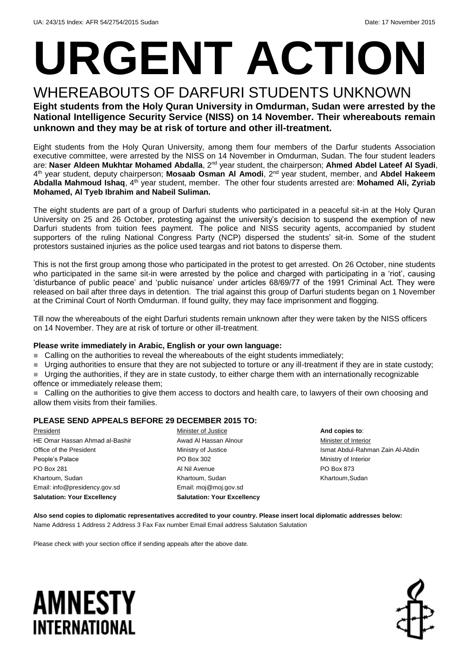# **URGENT ACTION**

## WHEREABOUTS OF DARFURI STUDENTS UNKNOWN

**Eight students from the Holy Quran University in Omdurman, Sudan were arrested by the National Intelligence Security Service (NISS) on 14 November. Their whereabouts remain unknown and they may be at risk of torture and other ill-treatment.**

Eight students from the Holy Quran University, among them four members of the Darfur students Association executive committee, were arrested by the NISS on 14 November in Omdurman, Sudan. The four student leaders are: **Naser Aldeen Mukhtar Mohamed Abdalla**, 2nd year student, the chairperson; **Ahmed Abdel Lateef Al Syadi**, 4<sup>th</sup> year student, deputy chairperson; **Mosaab Osman AI Amodi**, 2<sup>nd</sup> year student, member, and Abdel Hakeem **Abdalla Mahmoud Ishaq**, 4th year student, member. The other four students arrested are: **Mohamed Ali, Zyriab Mohamed, Al Tyeb Ibrahim and Nabeil Suliman.**

The eight students are part of a group of Darfuri students who participated in a peaceful sit-in at the Holy Quran University on 25 and 26 October, protesting against the university's decision to suspend the exemption of new Darfuri students from tuition fees payment. The police and NISS security agents, accompanied by student supporters of the ruling National Congress Party (NCP) dispersed the students' sit-in. Some of the student protestors sustained injuries as the police used teargas and riot batons to disperse them.

This is not the first group among those who participated in the protest to get arrested. On 26 October, nine students who participated in the same sit-in were arrested by the police and charged with participating in a 'riot', causing 'disturbance of public peace' and 'public nuisance' under articles 68/69/77 of the 1991 Criminal Act. They were released on bail after three days in detention. The trial against this group of Darfuri students began on 1 November at the Criminal Court of North Omdurman. If found guilty, they may face imprisonment and flogging.

Till now the whereabouts of the eight Darfuri students remain unknown after they were taken by the NISS officers on 14 November. They are at risk of torture or other ill-treatment.

#### **Please write immediately in Arabic, English or your own language:**

Calling on the authorities to reveal the whereabouts of the eight students immediately;

Urging authorities to ensure that they are not subjected to torture or any ill-treatment if they are in state custody;

■ Urging the authorities, if they are in state custody, to either charge them with an internationally recognizable offence or immediately release them;

 Calling on the authorities to give them access to doctors and health care, to lawyers of their own choosing and allow them visits from their families.

#### **PLEASE SEND APPEALS BEFORE 29 DECEMBER 2015 TO:**

President HE Omar Hassan Ahmad al-Bashir Office of the President People's Palace PO Box 281 Khartoum, Sudan Email: info@presidency.gov.sd **Salutation: Your Excellency**

Minister of Justice Awad Al Hassan Alnour Ministry of Justice PO Box 302 Al Nil Avenue Khartoum, Sudan Email: moj@moj.gov.sd **Salutation: Your Excellency**

**And copies to**: Minister of Interior Ismat Abdul*-*Rahman Zain Al-Abdin Ministry of Interior PO Box 873 Khartoum,Sudan

**Also send copies to diplomatic representatives accredited to your country. Please insert local diplomatic addresses below:** Name Address 1 Address 2 Address 3 Fax Fax number Email Email address Salutation Salutation

Please check with your section office if sending appeals after the above date.